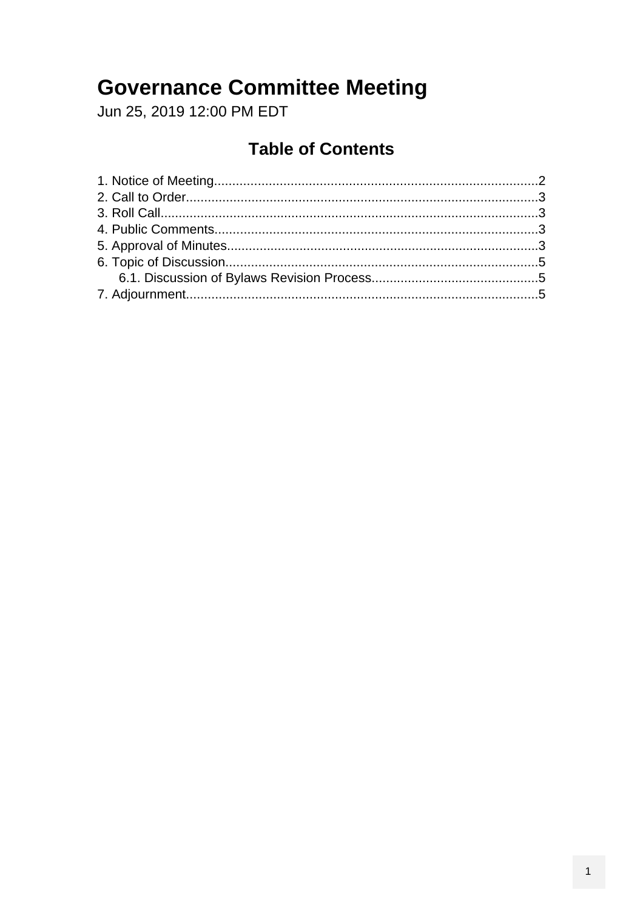### **Governance Committee Meeting**

Jun 25, 2019 12:00 PM EDT

#### **Table of Contents**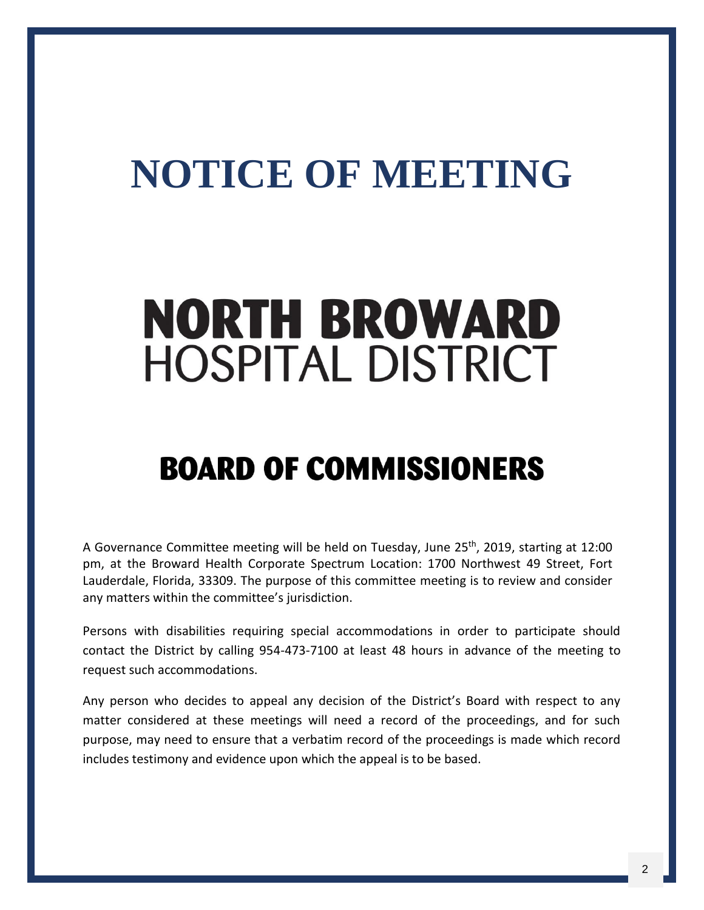## <span id="page-1-0"></span>**NOTICE OF MEETING**

# **NORTH BROWARD HOSPITAL DISTRICT**

## **BOARD OF COMMISSIONERS**

A Governance Committee meeting will be held on Tuesday, June 25<sup>th</sup>, 2019, starting at 12:00 pm, at the Broward Health Corporate Spectrum Location: 1700 Northwest 49 Street, Fort Lauderdale, Florida, 33309. The purpose of this committee meeting is to review and consider any matters within the committee's jurisdiction.

Persons with disabilities requiring special accommodations in order to participate should contact the District by calling 954-473-7100 at least 48 hours in advance of the meeting to request such accommodations.

Any person who decides to appeal any decision of the District's Board with respect to any matter considered at these meetings will need a record of the proceedings, and for such purpose, may need to ensure that a verbatim record of the proceedings is made which record includes testimony and evidence upon which the appeal is to be based.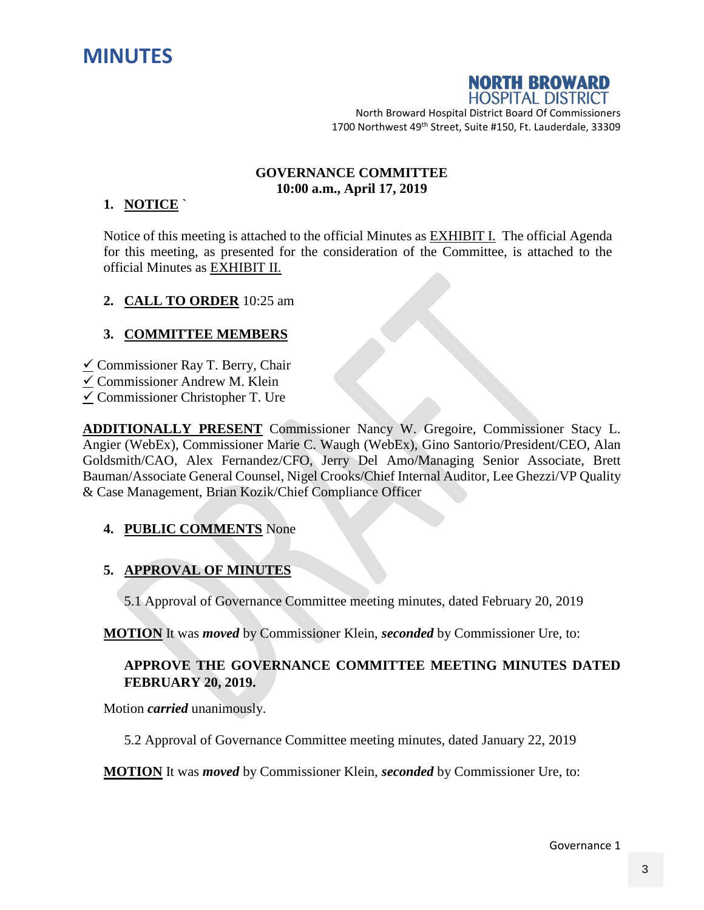<span id="page-2-0"></span>



North Broward Hospital District Board Of Commissioners 1700 Northwest 49<sup>th</sup> Street, Suite #150, Ft. Lauderdale, 33309

#### **GOVERNANCE COMMITTEE 10:00 a.m., April 17, 2019**

#### **1. NOTICE** `

Notice of this meeting is attached to the official Minutes as EXHIBIT I. The official Agenda for this meeting, as presented for the consideration of the Committee, is attached to the official Minutes as EXHIBIT II.

#### **2. CALL TO ORDER** 10:25 am

#### **3. COMMITTEE MEMBERS**

- $\checkmark$  Commissioner Ray T. Berry, Chair
- $\checkmark$  Commissioner Andrew M. Klein
- $\checkmark$  Commissioner Christopher T. Ure

**ADDITIONALLY PRESENT** Commissioner Nancy W. Gregoire, Commissioner Stacy L. Angier (WebEx), Commissioner Marie C. Waugh (WebEx), Gino Santorio/President/CEO, Alan Goldsmith/CAO, Alex Fernandez/CFO, Jerry Del Amo/Managing Senior Associate, Brett Bauman/Associate General Counsel, Nigel Crooks/Chief Internal Auditor, Lee Ghezzi/VP Quality & Case Management, Brian Kozik/Chief Compliance Officer

#### **4. PUBLIC COMMENTS** None

#### **5. APPROVAL OF MINUTES**

5.1 Approval of Governance Committee meeting minutes, dated February 20, 2019

**MOTION** It was *moved* by Commissioner Klein, *seconded* by Commissioner Ure, to:

#### **APPROVE THE GOVERNANCE COMMITTEE MEETING MINUTES DATED FEBRUARY 20, 2019.**

Motion *carried* unanimously.

5.2 Approval of Governance Committee meeting minutes, dated January 22, 2019

**MOTION** It was *moved* by Commissioner Klein, *seconded* by Commissioner Ure, to:

Governance 1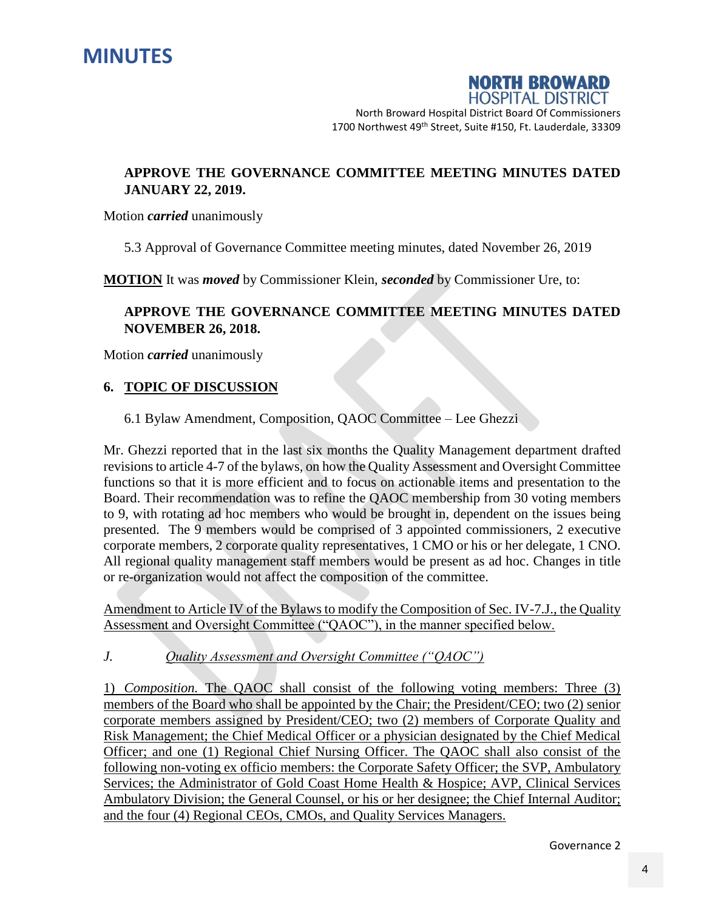



North Broward Hospital District Board Of Commissioners 1700 Northwest 49<sup>th</sup> Street, Suite #150, Ft. Lauderdale, 33309

#### **APPROVE THE GOVERNANCE COMMITTEE MEETING MINUTES DATED JANUARY 22, 2019.**

Motion *carried* unanimously

5.3 Approval of Governance Committee meeting minutes, dated November 26, 2019

**MOTION** It was *moved* by Commissioner Klein, *seconded* by Commissioner Ure, to:

#### **APPROVE THE GOVERNANCE COMMITTEE MEETING MINUTES DATED NOVEMBER 26, 2018.**

Motion *carried* unanimously

#### **6. TOPIC OF DISCUSSION**

6.1 Bylaw Amendment, Composition, QAOC Committee – Lee Ghezzi

Mr. Ghezzi reported that in the last six months the Quality Management department drafted revisions to article 4-7 of the bylaws, on how the Quality Assessment and Oversight Committee functions so that it is more efficient and to focus on actionable items and presentation to the Board. Their recommendation was to refine the QAOC membership from 30 voting members to 9, with rotating ad hoc members who would be brought in, dependent on the issues being presented. The 9 members would be comprised of 3 appointed commissioners, 2 executive corporate members, 2 corporate quality representatives, 1 CMO or his or her delegate, 1 CNO. All regional quality management staff members would be present as ad hoc. Changes in title or re-organization would not affect the composition of the committee.

Amendment to Article IV of the Bylaws to modify the Composition of Sec. IV-7.J., the Quality Assessment and Oversight Committee ("QAOC"), in the manner specified below.

*J. Quality Assessment and Oversight Committee ("QAOC")*

1) *Composition.* The QAOC shall consist of the following voting members: Three (3) members of the Board who shall be appointed by the Chair; the President/CEO; two (2) senior corporate members assigned by President/CEO; two (2) members of Corporate Quality and Risk Management; the Chief Medical Officer or a physician designated by the Chief Medical Officer; and one (1) Regional Chief Nursing Officer. The QAOC shall also consist of the following non-voting ex officio members: the Corporate Safety Officer; the SVP, Ambulatory Services; the Administrator of Gold Coast Home Health & Hospice; AVP, Clinical Services Ambulatory Division; the General Counsel, or his or her designee; the Chief Internal Auditor; and the four (4) Regional CEOs, CMOs, and Quality Services Managers.